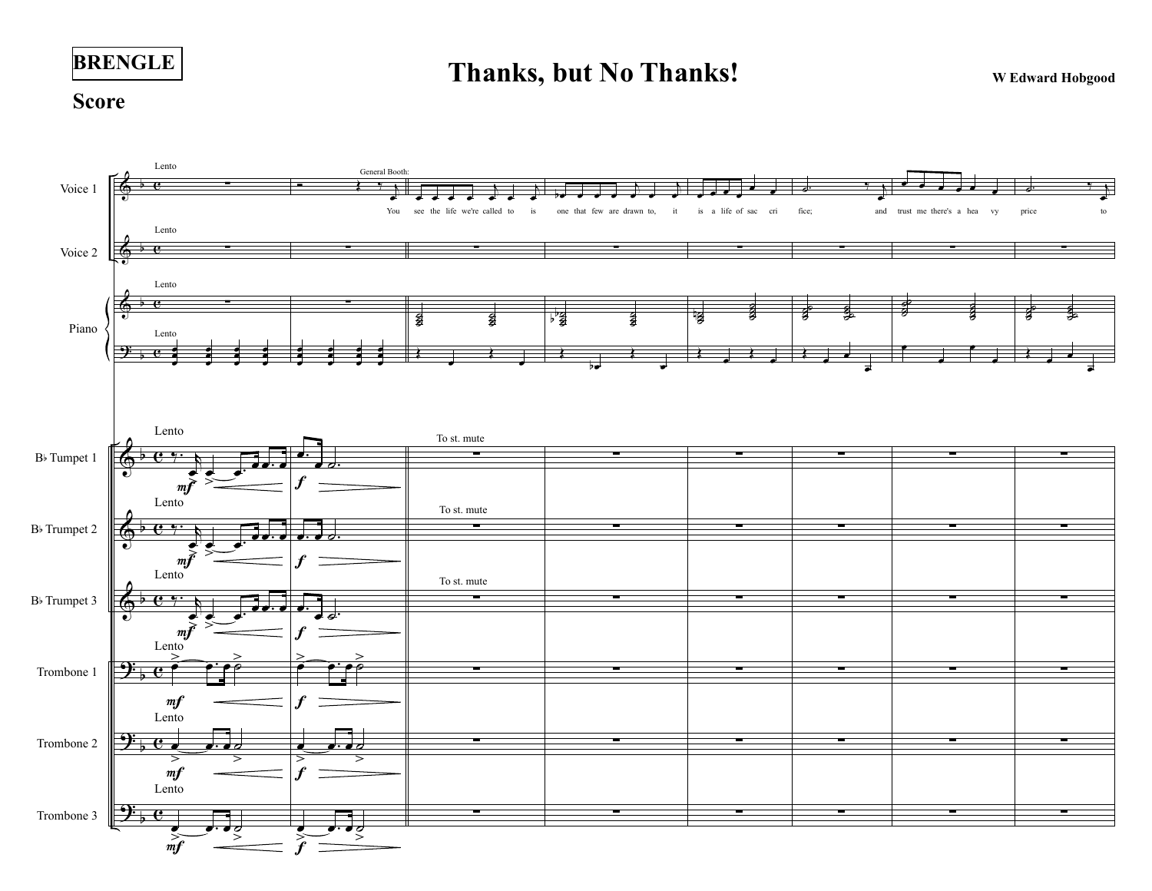

## **Thanks, but No Thanks!** WEdward Hobgood

## **Score**

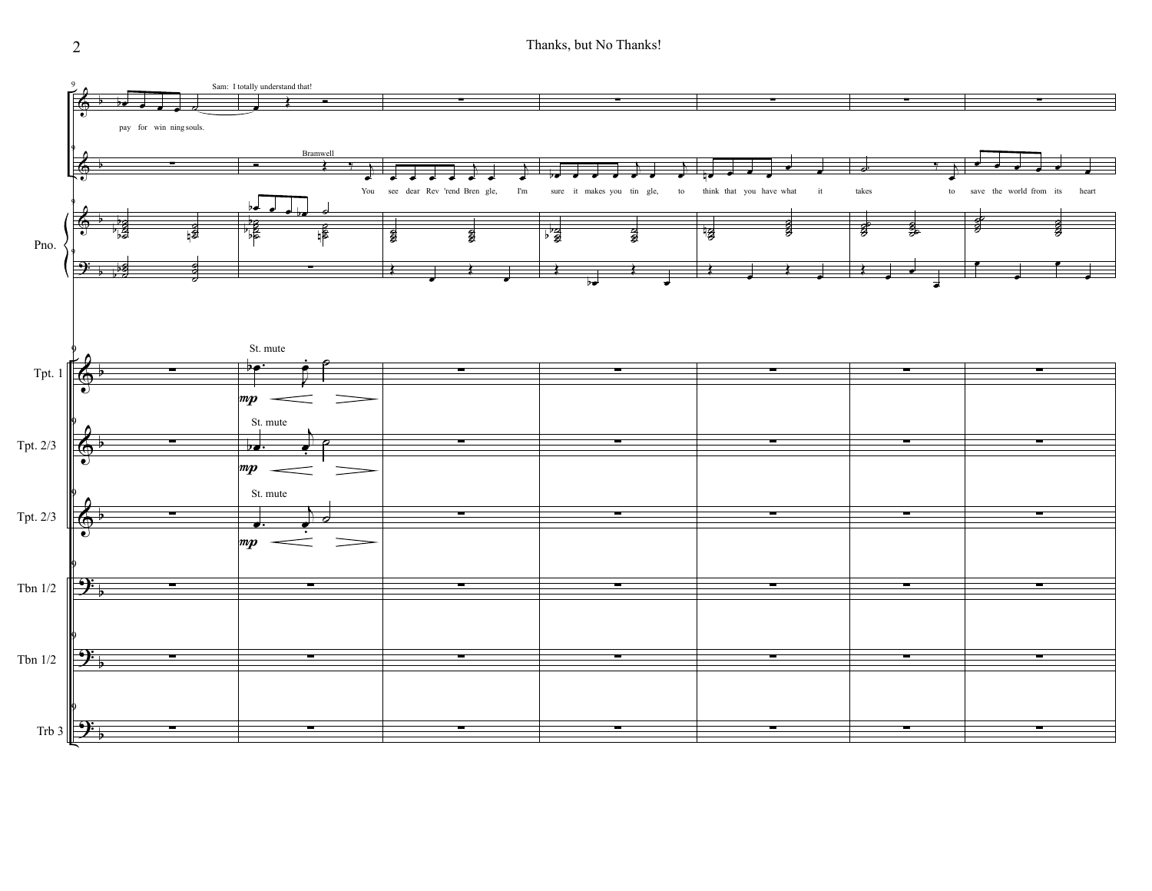2 Thanks, but No Thanks!

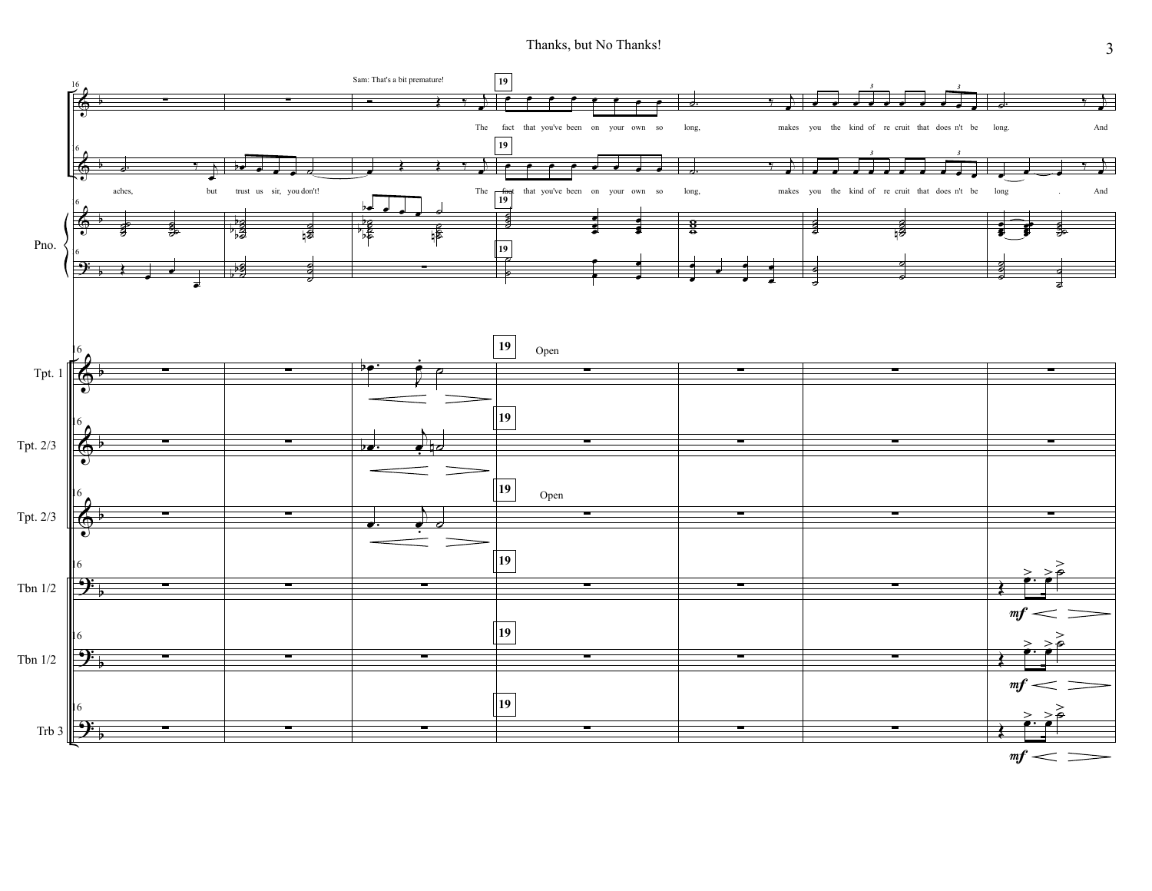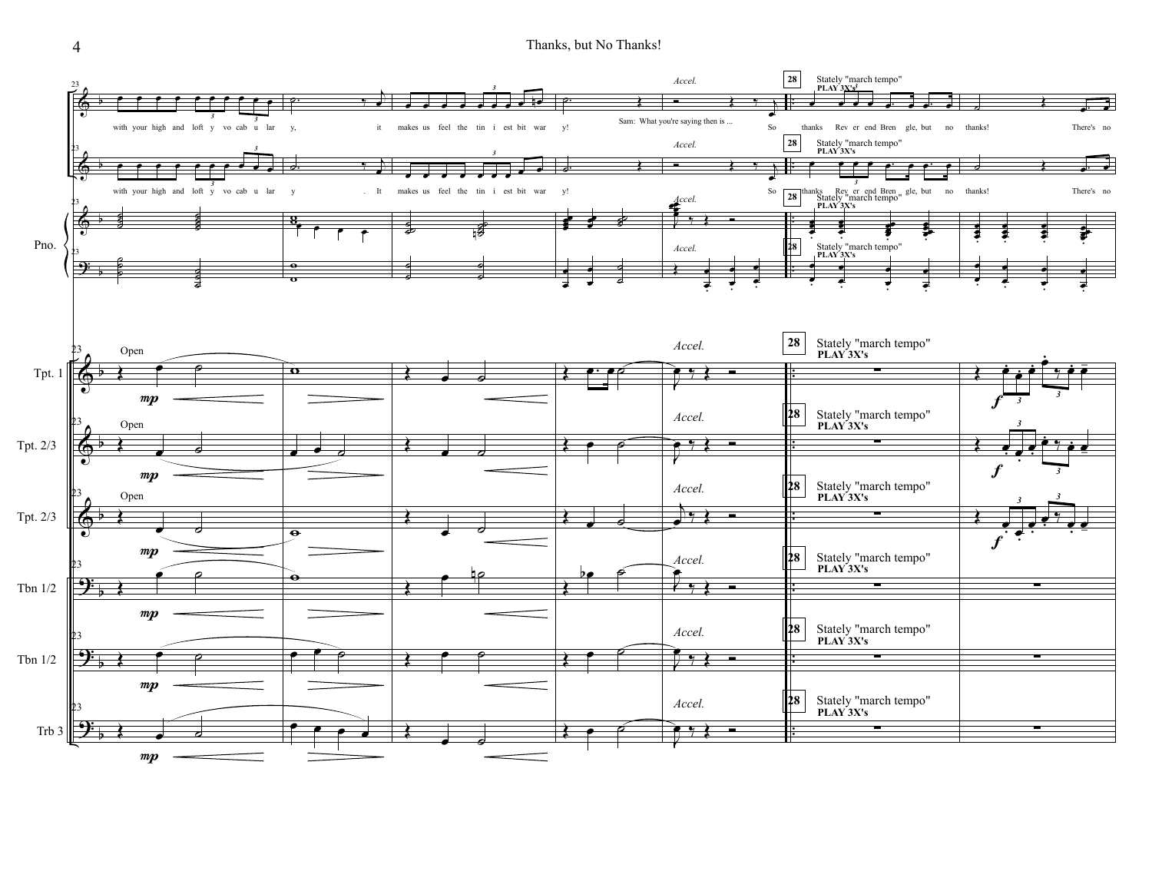4 Thanks, but No Thanks!

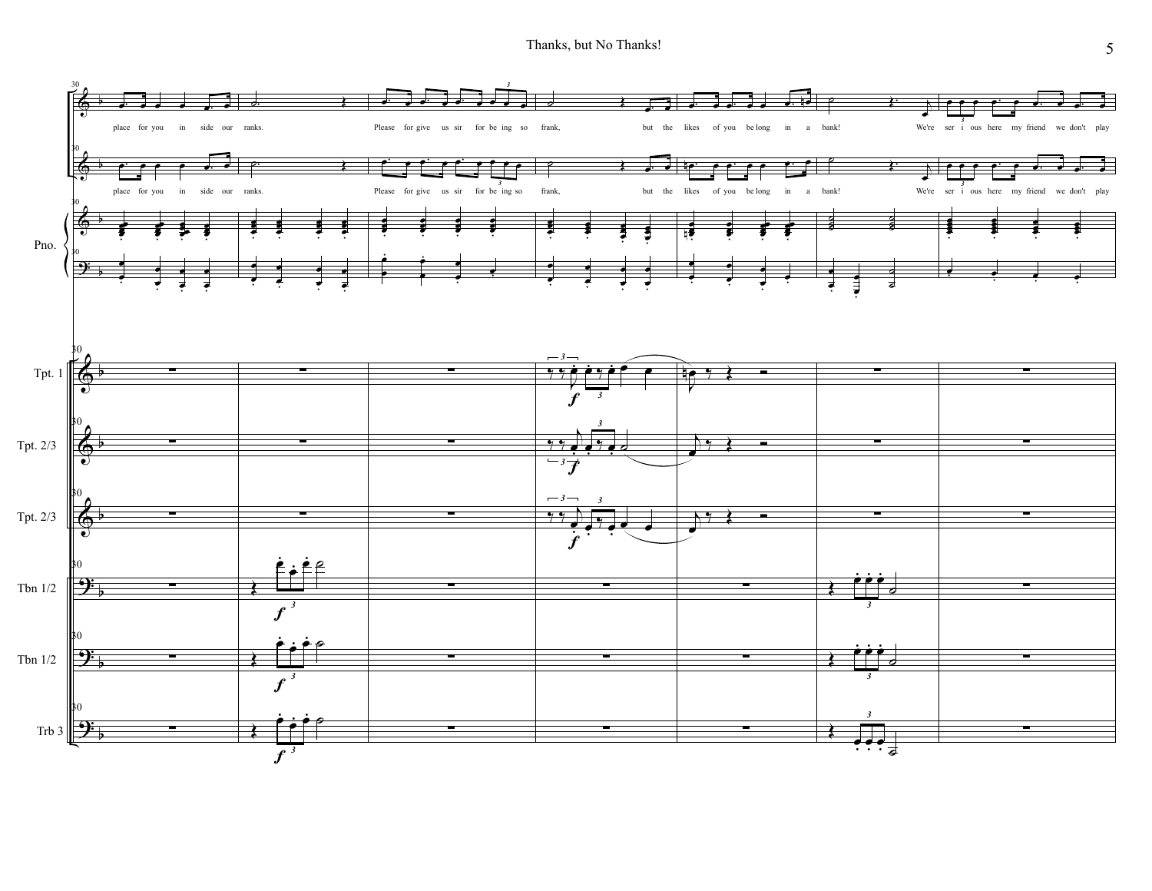Thanks, but No Thanks!

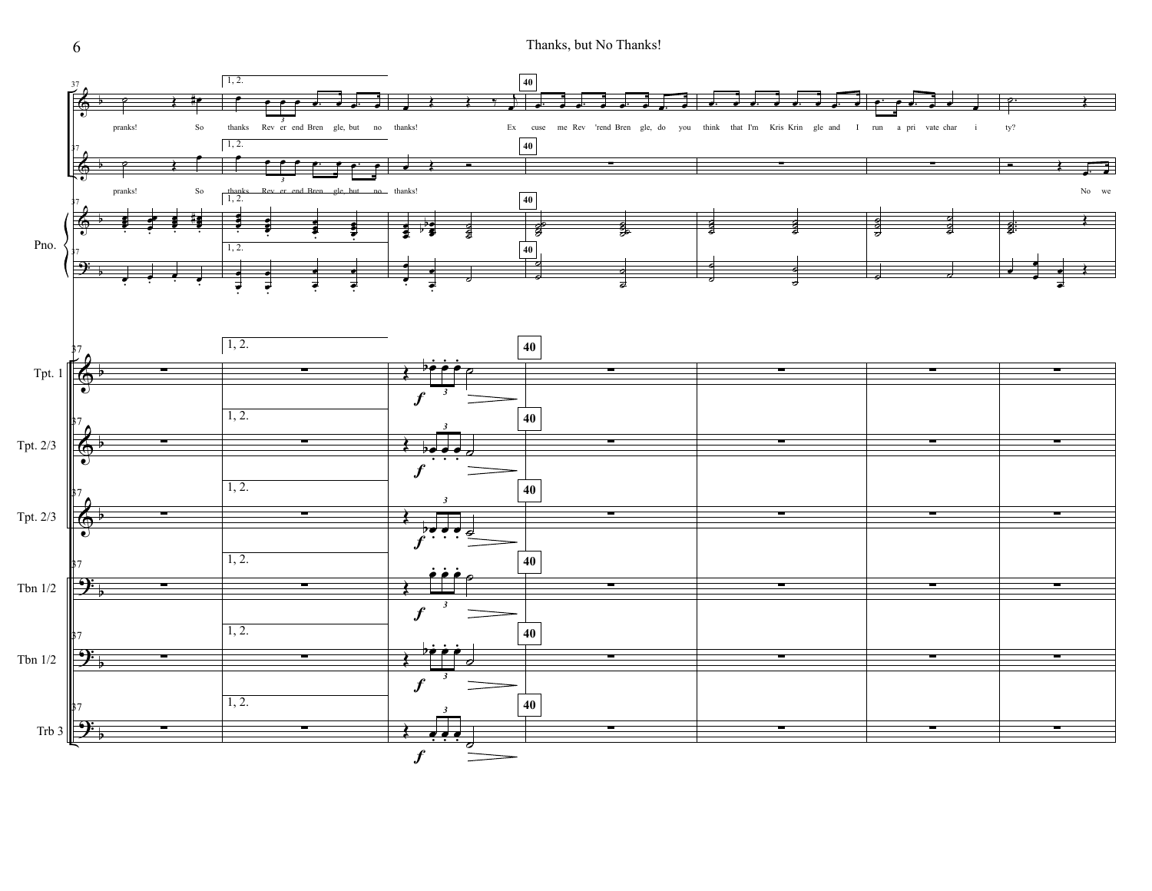Thanks, but No Thanks!



6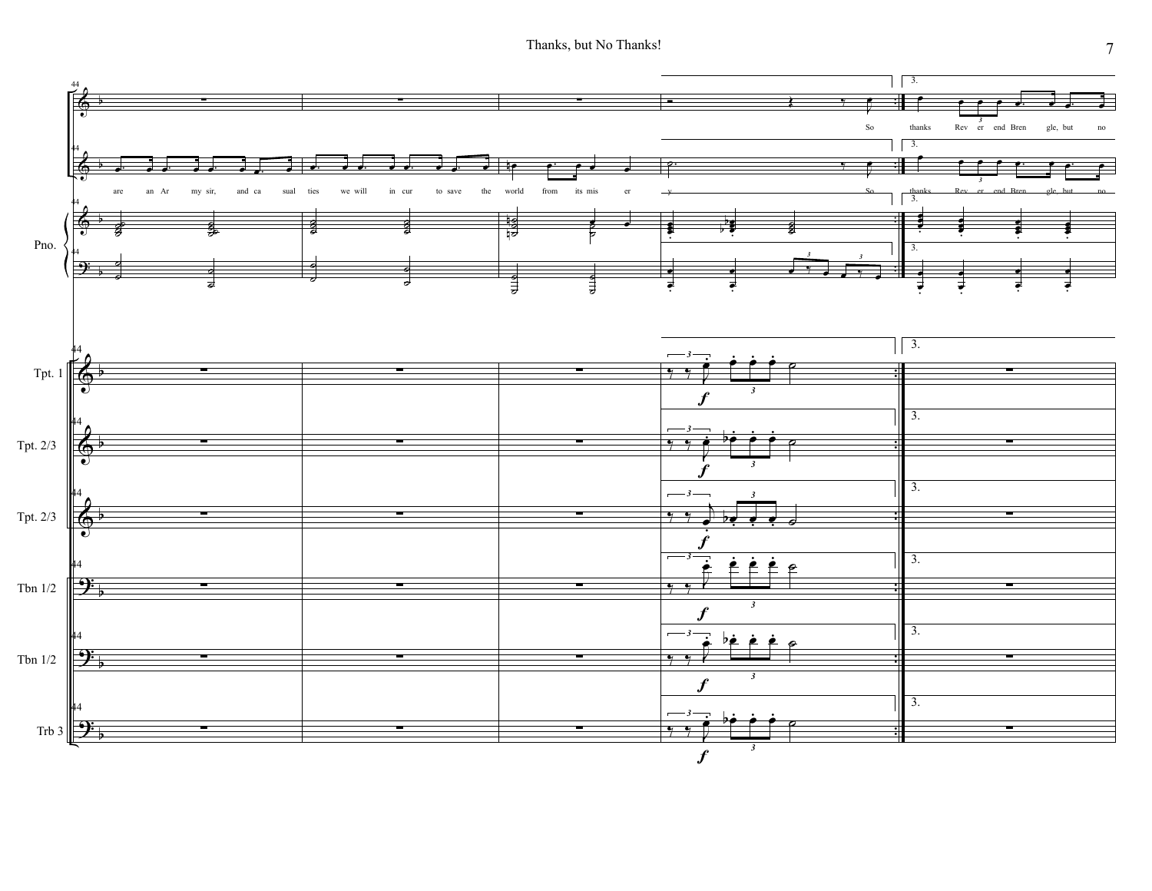Thanks, but No Thanks!